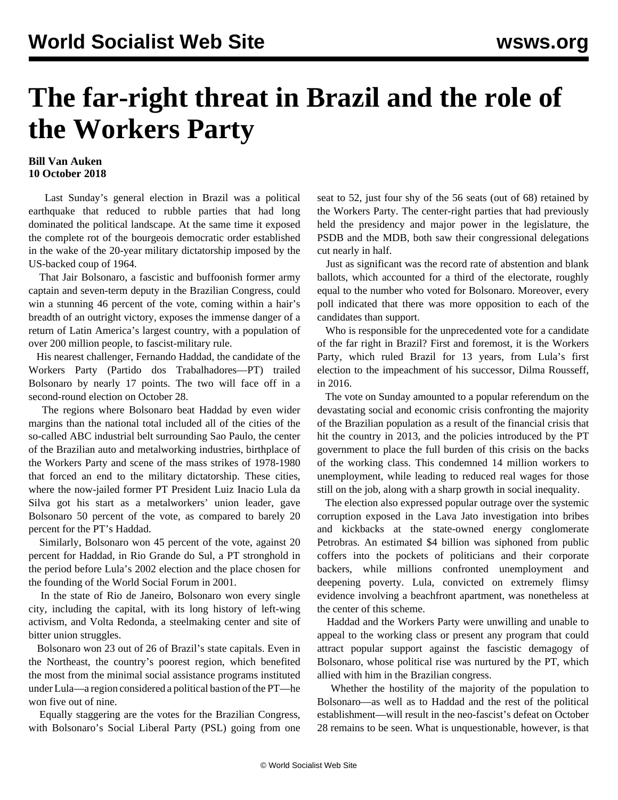## **The far-right threat in Brazil and the role of the Workers Party**

## **Bill Van Auken 10 October 2018**

 Last Sunday's general election in Brazil was a political earthquake that reduced to rubble parties that had long dominated the political landscape. At the same time it exposed the complete rot of the bourgeois democratic order established in the wake of the 20-year military dictatorship imposed by the US-backed coup of 1964.

 That Jair Bolsonaro, a fascistic and buffoonish former army captain and seven-term deputy in the Brazilian Congress, could win a stunning 46 percent of the vote, coming within a hair's breadth of an outright victory, exposes the immense danger of a return of Latin America's largest country, with a population of over 200 million people, to fascist-military rule.

 His nearest challenger, Fernando Haddad, the candidate of the Workers Party (Partido dos Trabalhadores—PT) trailed Bolsonaro by nearly 17 points. The two will face off in a second-round election on October 28.

 The regions where Bolsonaro beat Haddad by even wider margins than the national total included all of the cities of the so-called ABC industrial belt surrounding Sao Paulo, the center of the Brazilian auto and metalworking industries, birthplace of the Workers Party and scene of the mass strikes of 1978-1980 that forced an end to the military dictatorship. These cities, where the now-jailed former PT President Luiz Inacio Lula da Silva got his start as a metalworkers' union leader, gave Bolsonaro 50 percent of the vote, as compared to barely 20 percent for the PT's Haddad.

 Similarly, Bolsonaro won 45 percent of the vote, against 20 percent for Haddad, in Rio Grande do Sul, a PT stronghold in the period before Lula's 2002 election and the place chosen for the founding of the World Social Forum in 2001.

 In the state of Rio de Janeiro, Bolsonaro won every single city, including the capital, with its long history of left-wing activism, and Volta Redonda, a steelmaking center and site of bitter union struggles.

 Bolsonaro won 23 out of 26 of Brazil's state capitals. Even in the Northeast, the country's poorest region, which benefited the most from the minimal social assistance programs instituted under Lula—a region considered a political bastion of the PT—he won five out of nine.

 Equally staggering are the votes for the Brazilian Congress, with Bolsonaro's Social Liberal Party (PSL) going from one seat to 52, just four shy of the 56 seats (out of 68) retained by the Workers Party. The center-right parties that had previously held the presidency and major power in the legislature, the PSDB and the MDB, both saw their congressional delegations cut nearly in half.

 Just as significant was the record rate of abstention and blank ballots, which accounted for a third of the electorate, roughly equal to the number who voted for Bolsonaro. Moreover, every poll indicated that there was more opposition to each of the candidates than support.

 Who is responsible for the unprecedented vote for a candidate of the far right in Brazil? First and foremost, it is the Workers Party, which ruled Brazil for 13 years, from Lula's first election to the impeachment of his successor, Dilma Rousseff, in 2016.

 The vote on Sunday amounted to a popular referendum on the devastating social and economic crisis confronting the majority of the Brazilian population as a result of the financial crisis that hit the country in 2013, and the policies introduced by the PT government to place the full burden of this crisis on the backs of the working class. This condemned 14 million workers to unemployment, while leading to reduced real wages for those still on the job, along with a sharp growth in social inequality.

 The election also expressed popular outrage over the systemic corruption exposed in the Lava Jato investigation into bribes and kickbacks at the state-owned energy conglomerate Petrobras. An estimated \$4 billion was siphoned from public coffers into the pockets of politicians and their corporate backers, while millions confronted unemployment and deepening poverty. Lula, convicted on extremely flimsy evidence involving a beachfront apartment, was nonetheless at the center of this scheme.

 Haddad and the Workers Party were unwilling and unable to appeal to the working class or present any program that could attract popular support against the fascistic demagogy of Bolsonaro, whose political rise was nurtured by the PT, which allied with him in the Brazilian congress.

 Whether the hostility of the majority of the population to Bolsonaro—as well as to Haddad and the rest of the political establishment—will result in the neo-fascist's defeat on October 28 remains to be seen. What is unquestionable, however, is that